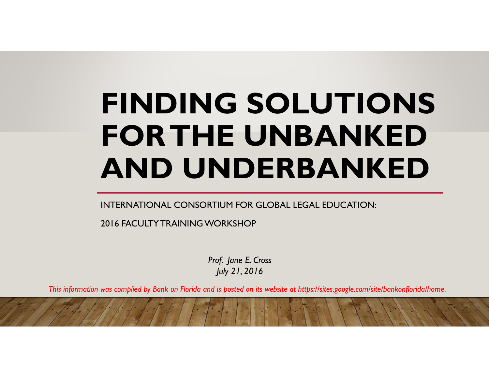# **FINDING SOLUTIONS FOR THE UNBANKED AND UNDERBANKED**

INTERNATIONAL CONSORTIUM FOR GLOBAL LEGAL EDUCATION:

2016 FACULTY TRAINING WORKSHOP

*Prof. Jane E. Cross July 21, 2016*

*This information was complied by Bank on Florida and is posted on its website at https://sites.google.com/site/bankonflorida/home.*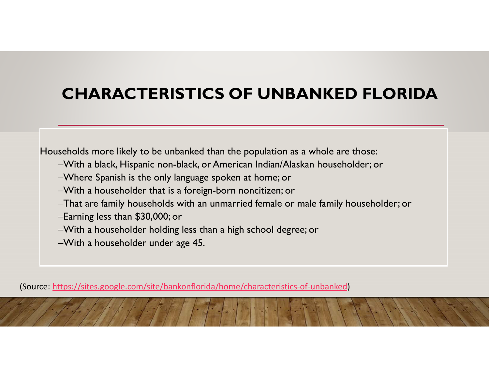## **CHARACTERISTICS OF UNBANKED FLORIDA**

Households more likely to be unbanked than the population as a whole are those:

- –With a black, Hispanic non-black, or American Indian/Alaskan householder; or
- –Where Spanish is the only language spoken at home; or
- –With a householder that is a foreign-born noncitizen; or
- –That are family households with an unmarried female or male family householder; or
- –Earning less than \$30,000; or
- –With a householder holding less than a high school degree; or
- –With a householder under age 45.

(Source: https://sites.google.com/site/bankonflorida/home/characteristics‐of‐unbanked)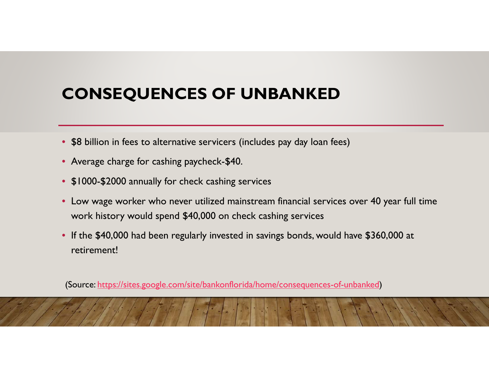## **CONSEQUENCES OF UNBANKED**

- \$8 billion in fees to alternative servicers (includes pay day loan fees)
- Average charge for cashing paycheck-\$40.
- \$1000-\$2000 annually for check cashing services
- Low wage worker who never utilized mainstream financial services over 40 year full time work history would spend \$40,000 on check cashing services
- If the \$40,000 had been regularly invested in savings bonds, would have \$360,000 at retirement!

(Source: https://sites.google.com/site/bankonflorida/home/consequences-of-unbanked)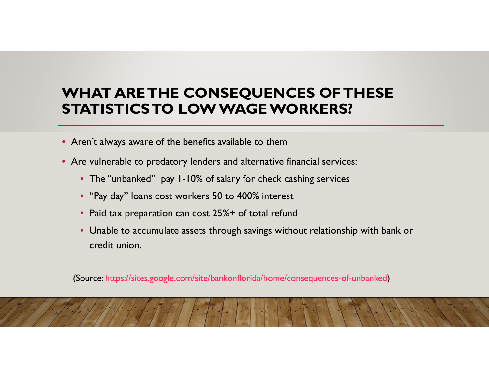#### **WHAT ARE THE CONSEQUENCES OF THESE STATISTICS TO LOW WAGE WORKERS?**

- Aren't always aware of the benefits available to them
- Are vulnerable to predatory lenders and alternative financial services:
	- The "unbanked" pay 1-10% of salary for check cashing services
	- "Pay day" loans cost workers 50 to 400% interest
	- Paid tax preparation can cost 25%+ of total refund
	- Unable to accumulate assets through savings without relationship with bank or credit union.

(Source: https://sites.google.com/site/bankonflorida/home/consequences-of-unbanked)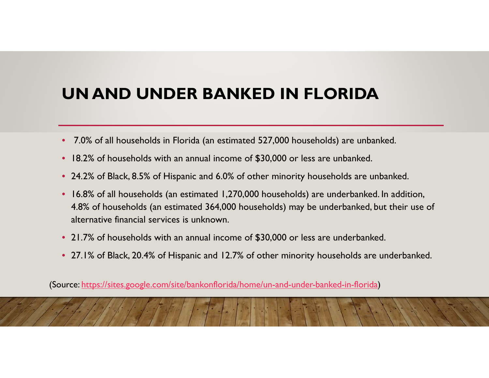## **UN AND UNDER BANKED IN FLORIDA**

- 7.0% of all households in Florida (an estimated 527,000 households) are unbanked.
- $\bullet$ 18.2% of households with an annual income of \$30,000 or less are unbanked.
- 24.2% of Black, 8.5% of Hispanic and 6.0% of other minority households are unbanked.
- • 16.8% of all households (an estimated 1,270,000 households) are underbanked. In addition, 4.8% of households (an estimated 364,000 households) may be underbanked, but their use of alternative financial services is unknown.
- 21.7% of households with an annual income of \$30,000 or less are underbanked.
- 27.1% of Black, 20.4% of Hispanic and 12.7% of other minority households are underbanked.

(Source: https://sites.google.com/site/bankonflorida/home/un-and-under-banked-in-florida)